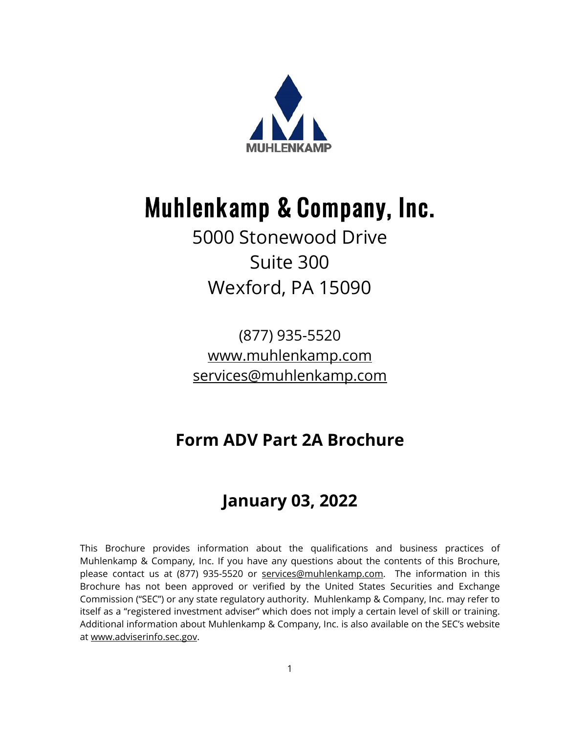

# Muhlenkamp & Company, Inc.

# 5000 Stonewood Drive Suite 300 Wexford, PA 15090

(877) 935-5520 [www.muhlenkamp.com](http://www.muhlenkamp.com/) [services@muhlenkamp.com](mailto:services@muhlenkamp.com)

# **Form ADV Part 2A Brochure**

# **January 03, 2022**

This Brochure provides information about the qualifications and business practices of Muhlenkamp & Company, Inc. If you have any questions about the contents of this Brochure, please contact us at (877) 935-5520 or [services@muhlenkamp.com.](mailto:services@muhlenkamp.com) The information in this Brochure has not been approved or verified by the United States Securities and Exchange Commission ("SEC") or any state regulatory authority. Muhlenkamp & Company, Inc. may refer to itself as a "registered investment adviser" which does not imply a certain level of skill or training. Additional information about Muhlenkamp & Company, Inc. is also available on the SEC's website at [www.adviserinfo.sec.gov.](http://www.adviserinfo.sec.gov/)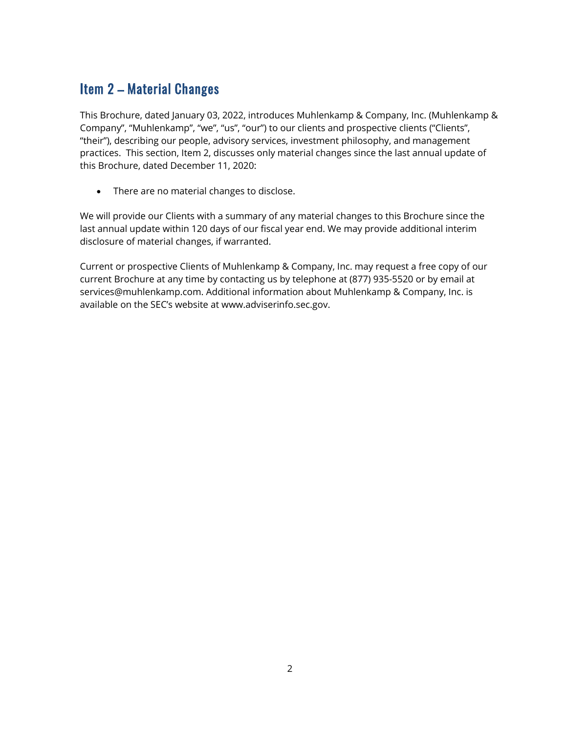# Item 2 – Material Changes

This Brochure, dated January 03, 2022, introduces Muhlenkamp & Company, Inc. (Muhlenkamp & Company", "Muhlenkamp", "we", "us", "our") to our clients and prospective clients ("Clients", "their"), describing our people, advisory services, investment philosophy, and management practices. This section, Item 2, discusses only material changes since the last annual update of this Brochure, dated December 11, 2020:

• There are no material changes to disclose.

We will provide our Clients with a summary of any material changes to this Brochure since the last annual update within 120 days of our fiscal year end. We may provide additional interim disclosure of material changes, if warranted.

Current or prospective Clients of Muhlenkamp & Company, Inc. may request a free copy of our current Brochure at any time by contacting us by telephone at (877) 935-5520 or by email at services@muhlenkamp.com. Additional information about Muhlenkamp & Company, Inc. is available on the SEC's website at www.adviserinfo.sec.gov.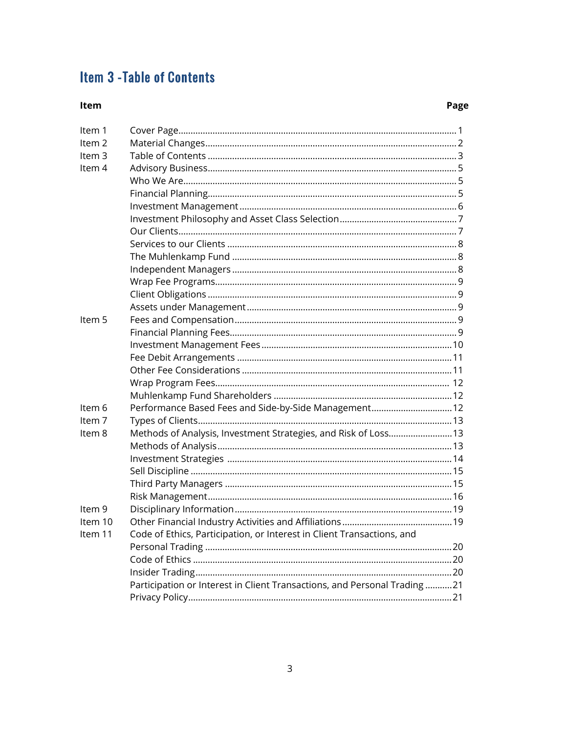# **Item 3 - Table of Contents**

#### Item

### Page

| Item 1            |                                                                          |  |
|-------------------|--------------------------------------------------------------------------|--|
| Item <sub>2</sub> |                                                                          |  |
| Item <sub>3</sub> |                                                                          |  |
| Item 4            |                                                                          |  |
|                   |                                                                          |  |
|                   |                                                                          |  |
|                   |                                                                          |  |
|                   |                                                                          |  |
|                   |                                                                          |  |
|                   |                                                                          |  |
|                   |                                                                          |  |
|                   |                                                                          |  |
|                   |                                                                          |  |
|                   |                                                                          |  |
|                   |                                                                          |  |
| Item 5            |                                                                          |  |
|                   |                                                                          |  |
|                   |                                                                          |  |
|                   |                                                                          |  |
|                   |                                                                          |  |
|                   |                                                                          |  |
|                   |                                                                          |  |
| Item 6            | Performance Based Fees and Side-by-Side Management 12                    |  |
| Item 7            |                                                                          |  |
| Item 8            | Methods of Analysis, Investment Strategies, and Risk of Loss 13          |  |
|                   |                                                                          |  |
|                   |                                                                          |  |
|                   |                                                                          |  |
|                   |                                                                          |  |
|                   |                                                                          |  |
| Item 9            |                                                                          |  |
| Item 10           |                                                                          |  |
| Item 11           | Code of Ethics, Participation, or Interest in Client Transactions, and   |  |
|                   |                                                                          |  |
|                   |                                                                          |  |
|                   |                                                                          |  |
|                   | Participation or Interest in Client Transactions, and Personal Trading21 |  |
|                   |                                                                          |  |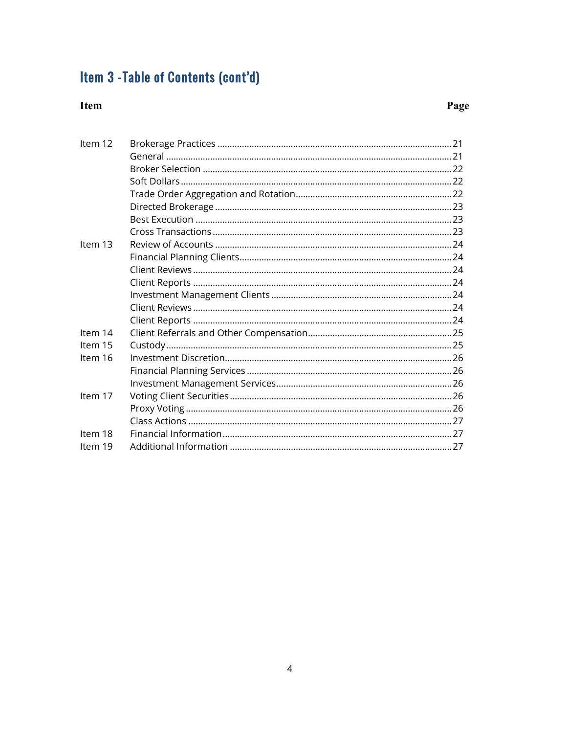# Item 3 - Table of Contents (cont'd)

### Item

# Page

| Item 12 |  |
|---------|--|
|         |  |
|         |  |
|         |  |
|         |  |
|         |  |
|         |  |
|         |  |
| Item 13 |  |
|         |  |
|         |  |
|         |  |
|         |  |
|         |  |
|         |  |
| Item 14 |  |
| Item 15 |  |
| Item 16 |  |
|         |  |
|         |  |
| Item 17 |  |
|         |  |
|         |  |
| Item 18 |  |
| Item 19 |  |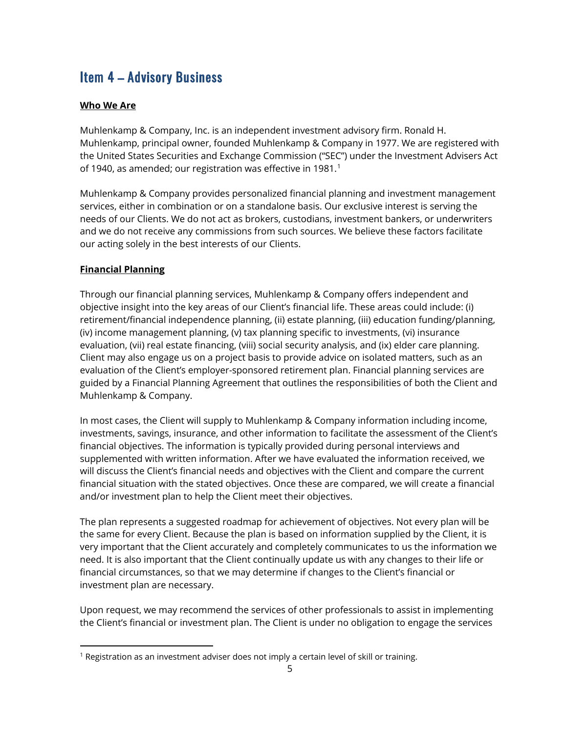# Item 4 – Advisory Business

#### **Who We Are**

Muhlenkamp & Company, Inc. is an independent investment advisory firm. Ronald H. Muhlenkamp, principal owner, founded Muhlenkamp & Company in 1977. We are registered with the United States Securities and Exchange Commission ("SEC") under the Investment Advisers Act of [1](#page-4-0)940, as amended; our registration was effective in 1981.<sup>1</sup>

Muhlenkamp & Company provides personalized financial planning and investment management services, either in combination or on a standalone basis. Our exclusive interest is serving the needs of our Clients. We do not act as brokers, custodians, investment bankers, or underwriters and we do not receive any commissions from such sources. We believe these factors facilitate our acting solely in the best interests of our Clients.

#### **Financial Planning**

Through our financial planning services, Muhlenkamp & Company offers independent and objective insight into the key areas of our Client's financial life. These areas could include: (i) retirement/financial independence planning, (ii) estate planning, (iii) education funding/planning, (iv) income management planning, (v) tax planning specific to investments, (vi) insurance evaluation, (vii) real estate financing, (viii) social security analysis, and (ix) elder care planning. Client may also engage us on a project basis to provide advice on isolated matters, such as an evaluation of the Client's employer-sponsored retirement plan. Financial planning services are guided by a Financial Planning Agreement that outlines the responsibilities of both the Client and Muhlenkamp & Company.

In most cases, the Client will supply to Muhlenkamp & Company information including income, investments, savings, insurance, and other information to facilitate the assessment of the Client's financial objectives. The information is typically provided during personal interviews and supplemented with written information. After we have evaluated the information received, we will discuss the Client's financial needs and objectives with the Client and compare the current financial situation with the stated objectives. Once these are compared, we will create a financial and/or investment plan to help the Client meet their objectives.

The plan represents a suggested roadmap for achievement of objectives. Not every plan will be the same for every Client. Because the plan is based on information supplied by the Client, it is very important that the Client accurately and completely communicates to us the information we need. It is also important that the Client continually update us with any changes to their life or financial circumstances, so that we may determine if changes to the Client's financial or investment plan are necessary.

Upon request, we may recommend the services of other professionals to assist in implementing the Client's financial or investment plan. The Client is under no obligation to engage the services

<span id="page-4-0"></span> $1$  Registration as an investment adviser does not imply a certain level of skill or training.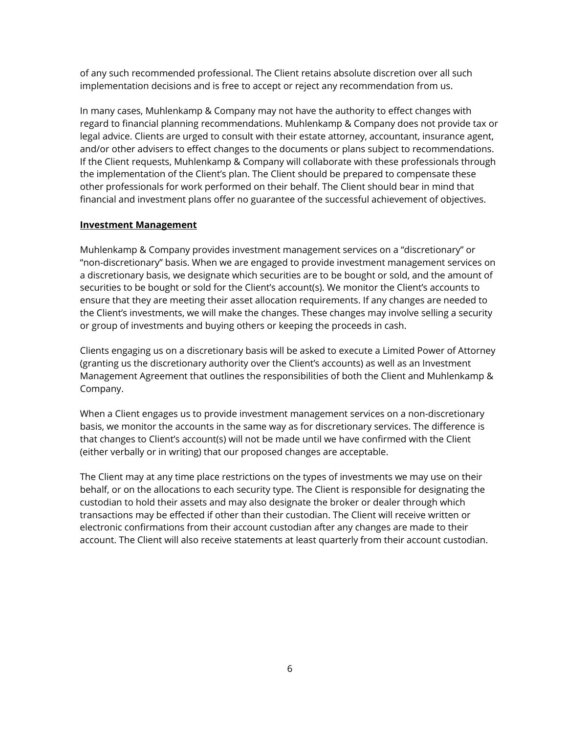of any such recommended professional. The Client retains absolute discretion over all such implementation decisions and is free to accept or reject any recommendation from us.

In many cases, Muhlenkamp & Company may not have the authority to effect changes with regard to financial planning recommendations. Muhlenkamp & Company does not provide tax or legal advice. Clients are urged to consult with their estate attorney, accountant, insurance agent, and/or other advisers to effect changes to the documents or plans subject to recommendations. If the Client requests, Muhlenkamp & Company will collaborate with these professionals through the implementation of the Client's plan. The Client should be prepared to compensate these other professionals for work performed on their behalf. The Client should bear in mind that financial and investment plans offer no guarantee of the successful achievement of objectives.

#### **Investment Management**

Muhlenkamp & Company provides investment management services on a "discretionary" or "non-discretionary" basis. When we are engaged to provide investment management services on a discretionary basis, we designate which securities are to be bought or sold, and the amount of securities to be bought or sold for the Client's account(s). We monitor the Client's accounts to ensure that they are meeting their asset allocation requirements. If any changes are needed to the Client's investments, we will make the changes. These changes may involve selling a security or group of investments and buying others or keeping the proceeds in cash.

Clients engaging us on a discretionary basis will be asked to execute a Limited Power of Attorney (granting us the discretionary authority over the Client's accounts) as well as an Investment Management Agreement that outlines the responsibilities of both the Client and Muhlenkamp & Company.

When a Client engages us to provide investment management services on a non-discretionary basis, we monitor the accounts in the same way as for discretionary services. The difference is that changes to Client's account(s) will not be made until we have confirmed with the Client (either verbally or in writing) that our proposed changes are acceptable.

The Client may at any time place restrictions on the types of investments we may use on their behalf, or on the allocations to each security type. The Client is responsible for designating the custodian to hold their assets and may also designate the broker or dealer through which transactions may be effected if other than their custodian. The Client will receive written or electronic confirmations from their account custodian after any changes are made to their account. The Client will also receive statements at least quarterly from their account custodian.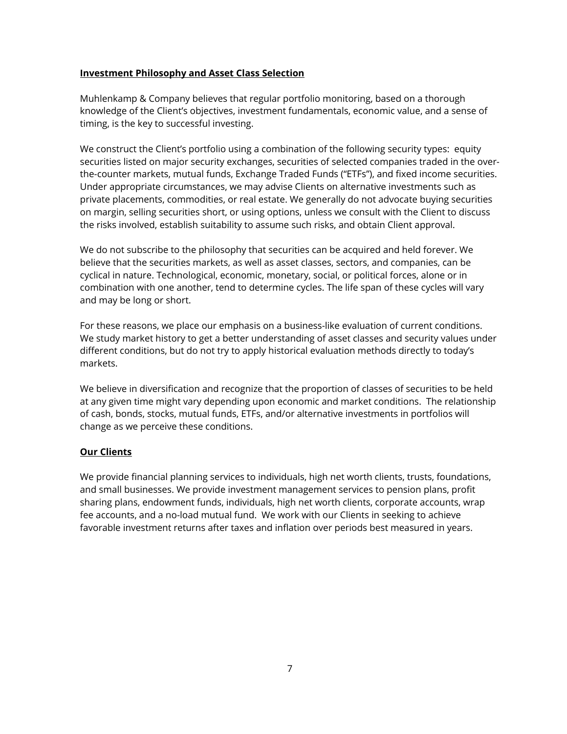#### **Investment Philosophy and Asset Class Selection**

Muhlenkamp & Company believes that regular portfolio monitoring, based on a thorough knowledge of the Client's objectives, investment fundamentals, economic value, and a sense of timing, is the key to successful investing.

We construct the Client's portfolio using a combination of the following security types: equity securities listed on major security exchanges, securities of selected companies traded in the overthe-counter markets, mutual funds, Exchange Traded Funds ("ETFs"), and fixed income securities. Under appropriate circumstances, we may advise Clients on alternative investments such as private placements, commodities, or real estate. We generally do not advocate buying securities on margin, selling securities short, or using options, unless we consult with the Client to discuss the risks involved, establish suitability to assume such risks, and obtain Client approval.

We do not subscribe to the philosophy that securities can be acquired and held forever. We believe that the securities markets, as well as asset classes, sectors, and companies, can be cyclical in nature. Technological, economic, monetary, social, or political forces, alone or in combination with one another, tend to determine cycles. The life span of these cycles will vary and may be long or short.

For these reasons, we place our emphasis on a business-like evaluation of current conditions. We study market history to get a better understanding of asset classes and security values under different conditions, but do not try to apply historical evaluation methods directly to today's markets.

We believe in diversification and recognize that the proportion of classes of securities to be held at any given time might vary depending upon economic and market conditions. The relationship of cash, bonds, stocks, mutual funds, ETFs, and/or alternative investments in portfolios will change as we perceive these conditions.

#### **Our Clients**

We provide financial planning services to individuals, high net worth clients, trusts, foundations, and small businesses. We provide investment management services to pension plans, profit sharing plans, endowment funds, individuals, high net worth clients, corporate accounts, wrap fee accounts, and a no-load mutual fund. We work with our Clients in seeking to achieve favorable investment returns after taxes and inflation over periods best measured in years.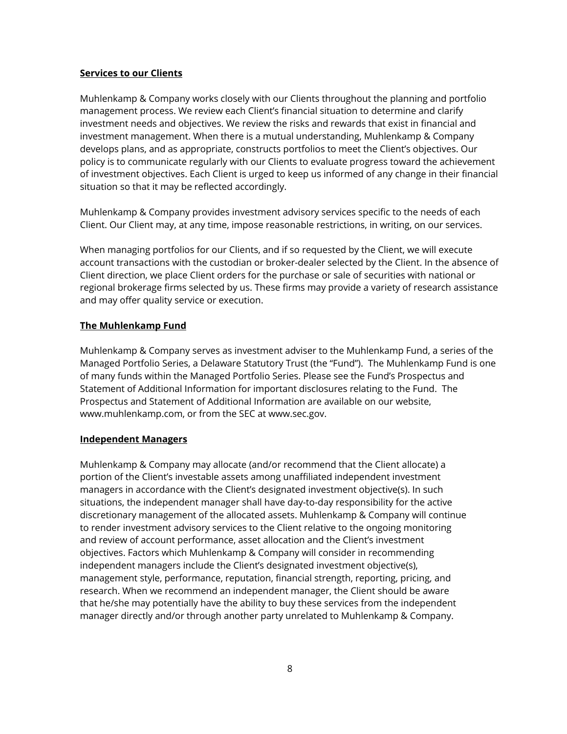#### **Services to our Clients**

Muhlenkamp & Company works closely with our Clients throughout the planning and portfolio management process. We review each Client's financial situation to determine and clarify investment needs and objectives. We review the risks and rewards that exist in financial and investment management. When there is a mutual understanding, Muhlenkamp & Company develops plans, and as appropriate, constructs portfolios to meet the Client's objectives. Our policy is to communicate regularly with our Clients to evaluate progress toward the achievement of investment objectives. Each Client is urged to keep us informed of any change in their financial situation so that it may be reflected accordingly.

Muhlenkamp & Company provides investment advisory services specific to the needs of each Client. Our Client may, at any time, impose reasonable restrictions, in writing, on our services.

When managing portfolios for our Clients, and if so requested by the Client, we will execute account transactions with the custodian or broker-dealer selected by the Client. In the absence of Client direction, we place Client orders for the purchase or sale of securities with national or regional brokerage firms selected by us. These firms may provide a variety of research assistance and may offer quality service or execution.

#### **The Muhlenkamp Fund**

Muhlenkamp & Company serves as investment adviser to the Muhlenkamp Fund, a series of the Managed Portfolio Series, a Delaware Statutory Trust (the "Fund"). The Muhlenkamp Fund is one of many funds within the Managed Portfolio Series. Please see the Fund's Prospectus and Statement of Additional Information for important disclosures relating to the Fund. The Prospectus and Statement of Additional Information are available on our website, www.muhlenkamp.com, or from the SEC at www.sec.gov.

#### **Independent Managers**

Muhlenkamp & Company may allocate (and/or recommend that the Client allocate) a portion of the Client's investable assets among unaffiliated independent investment managers in accordance with the Client's designated investment objective(s). In such situations, the independent manager shall have day-to-day responsibility for the active discretionary management of the allocated assets. Muhlenkamp & Company will continue to render investment advisory services to the Client relative to the ongoing monitoring and review of account performance, asset allocation and the Client's investment objectives. Factors which Muhlenkamp & Company will consider in recommending independent managers include the Client's designated investment objective(s), management style, performance, reputation, financial strength, reporting, pricing, and research. When we recommend an independent manager, the Client should be aware that he/she may potentially have the ability to buy these services from the independent manager directly and/or through another party unrelated to Muhlenkamp & Company.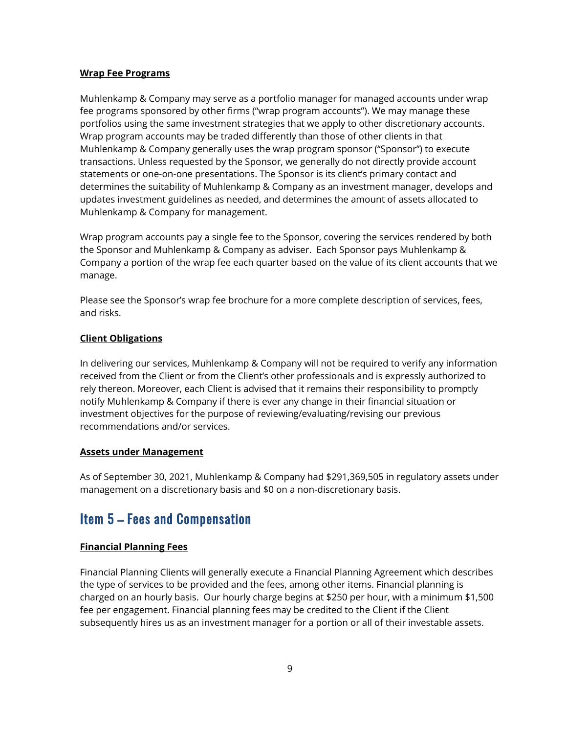#### **Wrap Fee Programs**

Muhlenkamp & Company may serve as a portfolio manager for managed accounts under wrap fee programs sponsored by other firms ("wrap program accounts"). We may manage these portfolios using the same investment strategies that we apply to other discretionary accounts. Wrap program accounts may be traded differently than those of other clients in that Muhlenkamp & Company generally uses the wrap program sponsor ("Sponsor") to execute transactions. Unless requested by the Sponsor, we generally do not directly provide account statements or one-on-one presentations. The Sponsor is its client's primary contact and determines the suitability of Muhlenkamp & Company as an investment manager, develops and updates investment guidelines as needed, and determines the amount of assets allocated to Muhlenkamp & Company for management.

Wrap program accounts pay a single fee to the Sponsor, covering the services rendered by both the Sponsor and Muhlenkamp & Company as adviser. Each Sponsor pays Muhlenkamp & Company a portion of the wrap fee each quarter based on the value of its client accounts that we manage.

Please see the Sponsor's wrap fee brochure for a more complete description of services, fees, and risks.

#### **Client Obligations**

In delivering our services, Muhlenkamp & Company will not be required to verify any information received from the Client or from the Client's other professionals and is expressly authorized to rely thereon. Moreover, each Client is advised that it remains their responsibility to promptly notify Muhlenkamp & Company if there is ever any change in their financial situation or investment objectives for the purpose of reviewing/evaluating/revising our previous recommendations and/or services.

#### **Assets under Management**

As of September 30, 2021, Muhlenkamp & Company had \$291,369,505 in regulatory assets under management on a discretionary basis and \$0 on a non-discretionary basis.

# Item 5 – Fees and Compensation

#### **Financial Planning Fees**

Financial Planning Clients will generally execute a Financial Planning Agreement which describes the type of services to be provided and the fees, among other items. Financial planning is charged on an hourly basis. Our hourly charge begins at \$250 per hour, with a minimum \$1,500 fee per engagement. Financial planning fees may be credited to the Client if the Client subsequently hires us as an investment manager for a portion or all of their investable assets.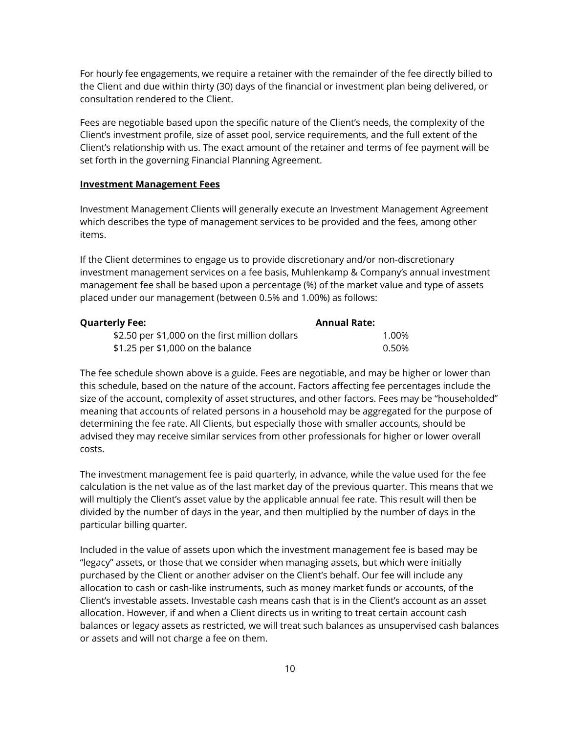For hourly fee engagements, we require a retainer with the remainder of the fee directly billed to the Client and due within thirty (30) days of the financial or investment plan being delivered, or consultation rendered to the Client.

Fees are negotiable based upon the specific nature of the Client's needs, the complexity of the Client's investment profile, size of asset pool, service requirements, and the full extent of the Client's relationship with us. The exact amount of the retainer and terms of fee payment will be set forth in the governing Financial Planning Agreement.

#### **Investment Management Fees**

Investment Management Clients will generally execute an Investment Management Agreement which describes the type of management services to be provided and the fees, among other items.

If the Client determines to engage us to provide discretionary and/or non-discretionary investment management services on a fee basis, Muhlenkamp & Company's annual investment management fee shall be based upon a percentage (%) of the market value and type of assets placed under our management (between 0.5% and 1.00%) as follows:

| <b>Quarterly Fee:</b>                           | <b>Annual Rate:</b> |       |
|-------------------------------------------------|---------------------|-------|
| \$2.50 per \$1,000 on the first million dollars |                     | 1.00% |
| $$1.25$ per $$1,000$ on the balance             |                     | 0.50% |

The fee schedule shown above is a guide. Fees are negotiable, and may be higher or lower than this schedule, based on the nature of the account. Factors affecting fee percentages include the size of the account, complexity of asset structures, and other factors. Fees may be "householded" meaning that accounts of related persons in a household may be aggregated for the purpose of determining the fee rate. All Clients, but especially those with smaller accounts, should be advised they may receive similar services from other professionals for higher or lower overall costs.

The investment management fee is paid quarterly, in advance, while the value used for the fee calculation is the net value as of the last market day of the previous quarter. This means that we will multiply the Client's asset value by the applicable annual fee rate. This result will then be divided by the number of days in the year, and then multiplied by the number of days in the particular billing quarter.

Included in the value of assets upon which the investment management fee is based may be "legacy" assets, or those that we consider when managing assets, but which were initially purchased by the Client or another adviser on the Client's behalf. Our fee will include any allocation to cash or cash-like instruments, such as money market funds or accounts, of the Client's investable assets. Investable cash means cash that is in the Client's account as an asset allocation. However, if and when a Client directs us in writing to treat certain account cash balances or legacy assets as restricted, we will treat such balances as unsupervised cash balances or assets and will not charge a fee on them.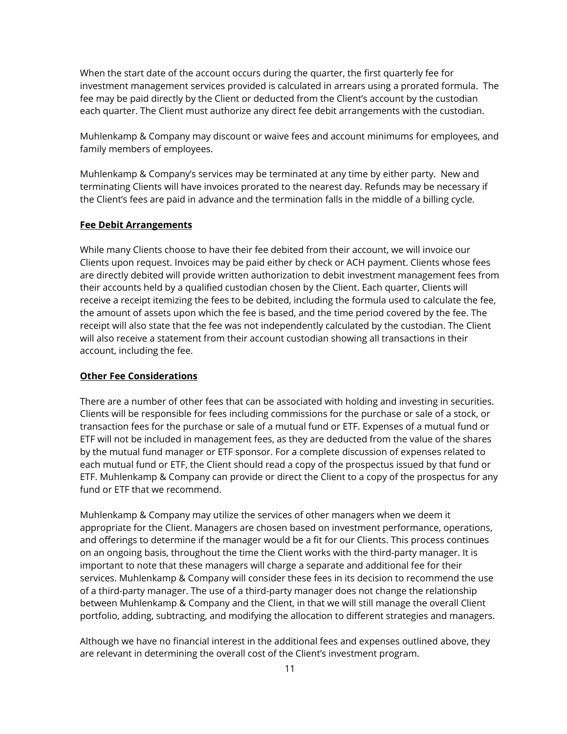When the start date of the account occurs during the quarter, the first quarterly fee for investment management services provided is calculated in arrears using a prorated formula. The fee may be paid directly by the Client or deducted from the Client's account by the custodian each quarter. The Client must authorize any direct fee debit arrangements with the custodian.

Muhlenkamp & Company may discount or waive fees and account minimums for employees, and family members of employees.

Muhlenkamp & Company's services may be terminated at any time by either party. New and terminating Clients will have invoices prorated to the nearest day. Refunds may be necessary if the Client's fees are paid in advance and the termination falls in the middle of a billing cycle.

#### **Fee Debit Arrangements**

While many Clients choose to have their fee debited from their account, we will invoice our Clients upon request. Invoices may be paid either by check or ACH payment. Clients whose fees are directly debited will provide written authorization to debit investment management fees from their accounts held by a qualified custodian chosen by the Client. Each quarter, Clients will receive a receipt itemizing the fees to be debited, including the formula used to calculate the fee, the amount of assets upon which the fee is based, and the time period covered by the fee. The receipt will also state that the fee was not independently calculated by the custodian. The Client will also receive a statement from their account custodian showing all transactions in their account, including the fee.

#### **Other Fee Considerations**

There are a number of other fees that can be associated with holding and investing in securities. Clients will be responsible for fees including commissions for the purchase or sale of a stock, or transaction fees for the purchase or sale of a mutual fund or ETF. Expenses of a mutual fund or ETF will not be included in management fees, as they are deducted from the value of the shares by the mutual fund manager or ETF sponsor. For a complete discussion of expenses related to each mutual fund or ETF, the Client should read a copy of the prospectus issued by that fund or ETF. Muhlenkamp & Company can provide or direct the Client to a copy of the prospectus for any fund or ETF that we recommend.

Muhlenkamp & Company may utilize the services of other managers when we deem it appropriate for the Client. Managers are chosen based on investment performance, operations, and offerings to determine if the manager would be a fit for our Clients. This process continues on an ongoing basis, throughout the time the Client works with the third-party manager. It is important to note that these managers will charge a separate and additional fee for their services. Muhlenkamp & Company will consider these fees in its decision to recommend the use of a third-party manager. The use of a third-party manager does not change the relationship between Muhlenkamp & Company and the Client, in that we will still manage the overall Client portfolio, adding, subtracting, and modifying the allocation to different strategies and managers.

Although we have no financial interest in the additional fees and expenses outlined above, they are relevant in determining the overall cost of the Client's investment program.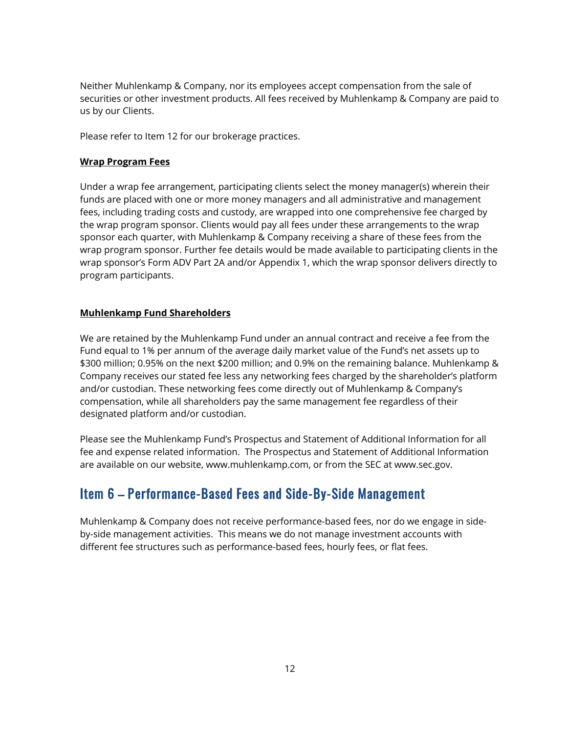Neither Muhlenkamp & Company, nor its employees accept compensation from the sale of securities or other investment products. All fees received by Muhlenkamp & Company are paid to us by our Clients.

Please refer to Item 12 for our brokerage practices.

#### **Wrap Program Fees**

Under a wrap fee arrangement, participating clients select the money manager(s) wherein their funds are placed with one or more money managers and all administrative and management fees, including trading costs and custody, are wrapped into one comprehensive fee charged by the wrap program sponsor. Clients would pay all fees under these arrangements to the wrap sponsor each quarter, with Muhlenkamp & Company receiving a share of these fees from the wrap program sponsor. Further fee details would be made available to participating clients in the wrap sponsor's Form ADV Part 2A and/or Appendix 1, which the wrap sponsor delivers directly to program participants.

#### **Muhlenkamp Fund Shareholders**

We are retained by the Muhlenkamp Fund under an annual contract and receive a fee from the Fund equal to 1% per annum of the average daily market value of the Fund's net assets up to \$300 million; 0.95% on the next \$200 million; and 0.9% on the remaining balance. Muhlenkamp & Company receives our stated fee less any networking fees charged by the shareholder's platform and/or custodian. These networking fees come directly out of Muhlenkamp & Company's compensation, while all shareholders pay the same management fee regardless of their designated platform and/or custodian.

Please see the Muhlenkamp Fund's Prospectus and Statement of Additional Information for all fee and expense related information. The Prospectus and Statement of Additional Information are available on our website, www.muhlenkamp.com, or from the SEC at www.sec.gov.

# Item 6 – Performance-Based Fees and Side-By-Side Management

Muhlenkamp & Company does not receive performance-based fees, nor do we engage in sideby-side management activities. This means we do not manage investment accounts with different fee structures such as performance-based fees, hourly fees, or flat fees.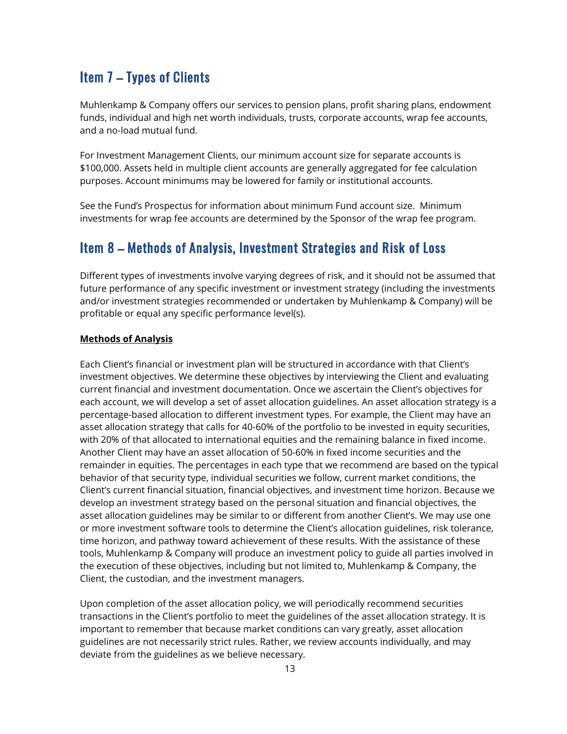# Item 7 – Types of Clients

Muhlenkamp & Company offers our services to pension plans, profit sharing plans, endowment funds, individual and high net worth individuals, trusts, corporate accounts, wrap fee accounts, and a no-load mutual fund.

For Investment Management Clients, our minimum account size for separate accounts is \$100,000. Assets held in multiple client accounts are generally aggregated for fee calculation purposes. Account minimums may be lowered for family or institutional accounts.

See the Fund's Prospectus for information about minimum Fund account size. Minimum investments for wrap fee accounts are determined by the Sponsor of the wrap fee program.

## Item 8 – Methods of Analysis, Investment Strategies and Risk of Loss

Different types of investments involve varying degrees of risk, and it should not be assumed that future performance of any specific investment or investment strategy (including the investments and/or investment strategies recommended or undertaken by Muhlenkamp & Company) will be profitable or equal any specific performance level(s).

#### **Methods of Analysis**

Each Client's financial or investment plan will be structured in accordance with that Client's investment objectives. We determine these objectives by interviewing the Client and evaluating current financial and investment documentation. Once we ascertain the Client's objectives for each account, we will develop a set of asset allocation guidelines. An asset allocation strategy is a percentage-based allocation to different investment types. For example, the Client may have an asset allocation strategy that calls for 40-60% of the portfolio to be invested in equity securities, with 20% of that allocated to international equities and the remaining balance in fixed income. Another Client may have an asset allocation of 50-60% in fixed income securities and the remainder in equities. The percentages in each type that we recommend are based on the typical behavior of that security type, individual securities we follow, current market conditions, the Client's current financial situation, financial objectives, and investment time horizon. Because we develop an investment strategy based on the personal situation and financial objectives, the asset allocation guidelines may be similar to or different from another Client's. We may use one or more investment software tools to determine the Client's allocation guidelines, risk tolerance, time horizon, and pathway toward achievement of these results. With the assistance of these tools, Muhlenkamp & Company will produce an investment policy to guide all parties involved in the execution of these objectives, including but not limited to, Muhlenkamp & Company, the Client, the custodian, and the investment managers.

Upon completion of the asset allocation policy, we will periodically recommend securities transactions in the Client's portfolio to meet the guidelines of the asset allocation strategy. It is important to remember that because market conditions can vary greatly, asset allocation guidelines are not necessarily strict rules. Rather, we review accounts individually, and may deviate from the guidelines as we believe necessary.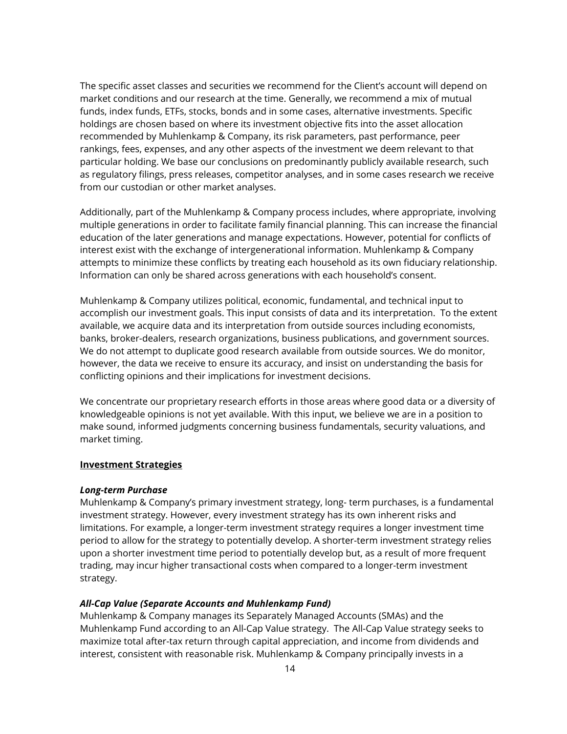The specific asset classes and securities we recommend for the Client's account will depend on market conditions and our research at the time. Generally, we recommend a mix of mutual funds, index funds, ETFs, stocks, bonds and in some cases, alternative investments. Specific holdings are chosen based on where its investment objective fits into the asset allocation recommended by Muhlenkamp & Company, its risk parameters, past performance, peer rankings, fees, expenses, and any other aspects of the investment we deem relevant to that particular holding. We base our conclusions on predominantly publicly available research, such as regulatory filings, press releases, competitor analyses, and in some cases research we receive from our custodian or other market analyses.

Additionally, part of the Muhlenkamp & Company process includes, where appropriate, involving multiple generations in order to facilitate family financial planning. This can increase the financial education of the later generations and manage expectations. However, potential for conflicts of interest exist with the exchange of intergenerational information. Muhlenkamp & Company attempts to minimize these conflicts by treating each household as its own fiduciary relationship. Information can only be shared across generations with each household's consent.

Muhlenkamp & Company utilizes political, economic, fundamental, and technical input to accomplish our investment goals. This input consists of data and its interpretation. To the extent available, we acquire data and its interpretation from outside sources including economists, banks, broker-dealers, research organizations, business publications, and government sources. We do not attempt to duplicate good research available from outside sources. We do monitor, however, the data we receive to ensure its accuracy, and insist on understanding the basis for conflicting opinions and their implications for investment decisions.

We concentrate our proprietary research efforts in those areas where good data or a diversity of knowledgeable opinions is not yet available. With this input, we believe we are in a position to make sound, informed judgments concerning business fundamentals, security valuations, and market timing.

#### **Investment Strategies**

#### *Long-term Purchase*

Muhlenkamp & Company's primary investment strategy, long- term purchases, is a fundamental investment strategy. However, every investment strategy has its own inherent risks and limitations. For example, a longer-term investment strategy requires a longer investment time period to allow for the strategy to potentially develop. A shorter-term investment strategy relies upon a shorter investment time period to potentially develop but, as a result of more frequent trading, may incur higher transactional costs when compared to a longer-term investment strategy.

#### *All-Cap Value (Separate Accounts and Muhlenkamp Fund)*

Muhlenkamp & Company manages its Separately Managed Accounts (SMAs) and the Muhlenkamp Fund according to an All-Cap Value strategy. The All-Cap Value strategy seeks to maximize total after-tax return through capital appreciation, and income from dividends and interest, consistent with reasonable risk. Muhlenkamp & Company principally invests in a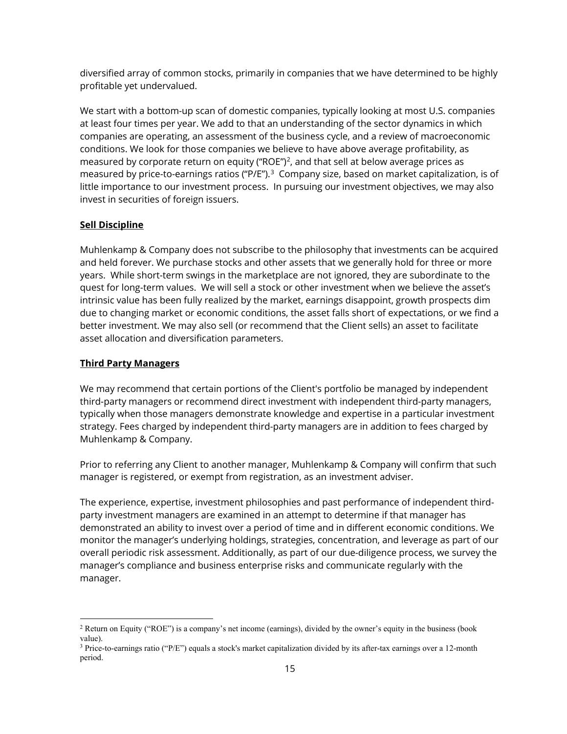diversified array of common stocks, primarily in companies that we have determined to be highly profitable yet undervalued.

We start with a bottom-up scan of domestic companies, typically looking at most U.S. companies at least four times per year. We add to that an understanding of the sector dynamics in which companies are operating, an assessment of the business cycle, and a review of macroeconomic conditions. We look for those companies we believe to have above average profitability, as measured by corporate return on equity ("ROE")<sup>2</sup>, and that sell at below average prices as measured by price-to-earnings ratios ("P/E").<sup>[3](#page-14-1)</sup> Company size, based on market capitalization, is of little importance to our investment process. In pursuing our investment objectives, we may also invest in securities of foreign issuers.

#### **Sell Discipline**

Muhlenkamp & Company does not subscribe to the philosophy that investments can be acquired and held forever. We purchase stocks and other assets that we generally hold for three or more years. While short-term swings in the marketplace are not ignored, they are subordinate to the quest for long-term values. We will sell a stock or other investment when we believe the asset's intrinsic value has been fully realized by the market, earnings disappoint, growth prospects dim due to changing market or economic conditions, the asset falls short of expectations, or we find a better investment. We may also sell (or recommend that the Client sells) an asset to facilitate asset allocation and diversification parameters.

#### **Third Party Managers**

We may recommend that certain portions of the Client's portfolio be managed by independent third-party managers or recommend direct investment with independent third-party managers, typically when those managers demonstrate knowledge and expertise in a particular investment strategy. Fees charged by independent third-party managers are in addition to fees charged by Muhlenkamp & Company.

Prior to referring any Client to another manager, Muhlenkamp & Company will confirm that such manager is registered, or exempt from registration, as an investment adviser.

The experience, expertise, investment philosophies and past performance of independent thirdparty investment managers are examined in an attempt to determine if that manager has demonstrated an ability to invest over a period of time and in different economic conditions. We monitor the manager's underlying holdings, strategies, concentration, and leverage as part of our overall periodic risk assessment. Additionally, as part of our due-diligence process, we survey the manager's compliance and business enterprise risks and communicate regularly with the manager.

<span id="page-14-0"></span><sup>2</sup> Return on Equity ("ROE") is a company's net income (earnings), divided by the owner's equity in the business (book value).

<span id="page-14-1"></span> $3$  Price-to-earnings ratio ("P/E") equals a stock's market capitalization divided by its after-tax earnings over a 12-month period.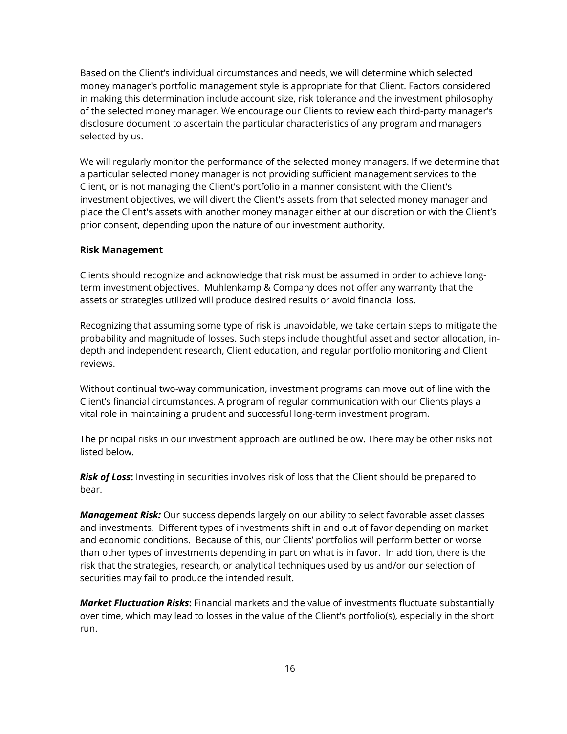Based on the Client's individual circumstances and needs, we will determine which selected money manager's portfolio management style is appropriate for that Client. Factors considered in making this determination include account size, risk tolerance and the investment philosophy of the selected money manager. We encourage our Clients to review each third-party manager's disclosure document to ascertain the particular characteristics of any program and managers selected by us.

We will regularly monitor the performance of the selected money managers. If we determine that a particular selected money manager is not providing sufficient management services to the Client, or is not managing the Client's portfolio in a manner consistent with the Client's investment objectives, we will divert the Client's assets from that selected money manager and place the Client's assets with another money manager either at our discretion or with the Client's prior consent, depending upon the nature of our investment authority.

#### **Risk Management**

Clients should recognize and acknowledge that risk must be assumed in order to achieve longterm investment objectives. Muhlenkamp & Company does not offer any warranty that the assets or strategies utilized will produce desired results or avoid financial loss.

Recognizing that assuming some type of risk is unavoidable, we take certain steps to mitigate the probability and magnitude of losses. Such steps include thoughtful asset and sector allocation, indepth and independent research, Client education, and regular portfolio monitoring and Client reviews.

Without continual two-way communication, investment programs can move out of line with the Client's financial circumstances. A program of regular communication with our Clients plays a vital role in maintaining a prudent and successful long-term investment program.

The principal risks in our investment approach are outlined below. There may be other risks not listed below.

*Risk of Loss***:** Investing in securities involves risk of loss that the Client should be prepared to bear.

*Management Risk:* Our success depends largely on our ability to select favorable asset classes and investments. Different types of investments shift in and out of favor depending on market and economic conditions. Because of this, our Clients' portfolios will perform better or worse than other types of investments depending in part on what is in favor. In addition, there is the risk that the strategies, research, or analytical techniques used by us and/or our selection of securities may fail to produce the intended result.

*Market Fluctuation Risks***:** Financial markets and the value of investments fluctuate substantially over time, which may lead to losses in the value of the Client's portfolio(s), especially in the short run.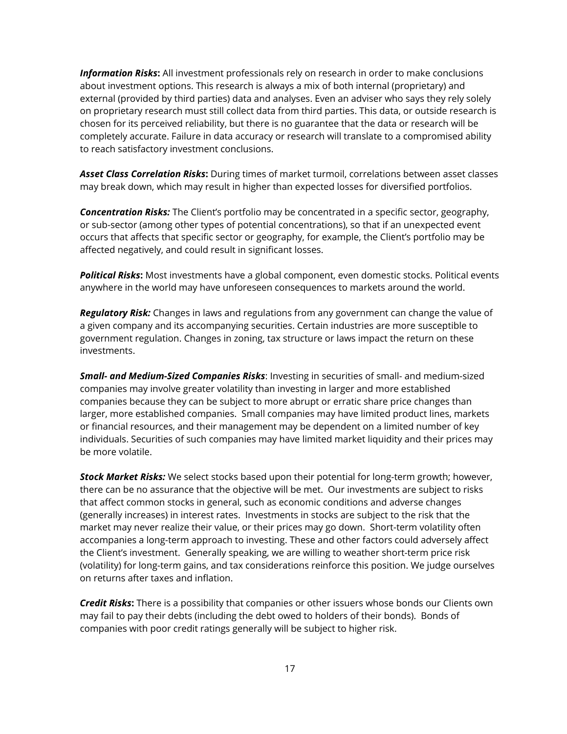*Information Risks***:** All investment professionals rely on research in order to make conclusions about investment options. This research is always a mix of both internal (proprietary) and external (provided by third parties) data and analyses. Even an adviser who says they rely solely on proprietary research must still collect data from third parties. This data, or outside research is chosen for its perceived reliability, but there is no guarantee that the data or research will be completely accurate. Failure in data accuracy or research will translate to a compromised ability to reach satisfactory investment conclusions.

*Asset Class Correlation Risks***:** During times of market turmoil, correlations between asset classes may break down, which may result in higher than expected losses for diversified portfolios.

*Concentration Risks:* The Client's portfolio may be concentrated in a specific sector, geography, or sub-sector (among other types of potential concentrations), so that if an unexpected event occurs that affects that specific sector or geography, for example, the Client's portfolio may be affected negatively, and could result in significant losses.

*Political Risks***:** Most investments have a global component, even domestic stocks. Political events anywhere in the world may have unforeseen consequences to markets around the world.

*Regulatory Risk:* Changes in laws and regulations from any government can change the value of a given company and its accompanying securities. Certain industries are more susceptible to government regulation. Changes in zoning, tax structure or laws impact the return on these investments.

*Small- and Medium-Sized Companies Risks*: Investing in securities of small- and medium-sized companies may involve greater volatility than investing in larger and more established companies because they can be subject to more abrupt or erratic share price changes than larger, more established companies. Small companies may have limited product lines, markets or financial resources, and their management may be dependent on a limited number of key individuals. Securities of such companies may have limited market liquidity and their prices may be more volatile.

*Stock Market Risks:* We select stocks based upon their potential for long-term growth; however, there can be no assurance that the objective will be met. Our investments are subject to risks that affect common stocks in general, such as economic conditions and adverse changes (generally increases) in interest rates. Investments in stocks are subject to the risk that the market may never realize their value, or their prices may go down. Short-term volatility often accompanies a long-term approach to investing. These and other factors could adversely affect the Client's investment. Generally speaking, we are willing to weather short-term price risk (volatility) for long-term gains, and tax considerations reinforce this position. We judge ourselves on returns after taxes and inflation.

*Credit Risks***:** There is a possibility that companies or other issuers whose bonds our Clients own may fail to pay their debts (including the debt owed to holders of their bonds). Bonds of companies with poor credit ratings generally will be subject to higher risk.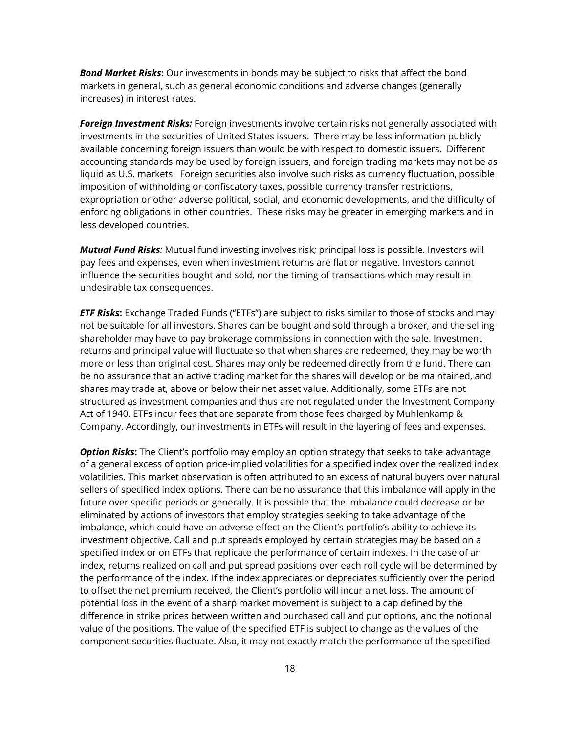*Bond Market Risks***:** Our investments in bonds may be subject to risks that affect the bond markets in general, such as general economic conditions and adverse changes (generally increases) in interest rates.

*Foreign Investment Risks:* Foreign investments involve certain risks not generally associated with investments in the securities of United States issuers. There may be less information publicly available concerning foreign issuers than would be with respect to domestic issuers. Different accounting standards may be used by foreign issuers, and foreign trading markets may not be as liquid as U.S. markets. Foreign securities also involve such risks as currency fluctuation, possible imposition of withholding or confiscatory taxes, possible currency transfer restrictions, expropriation or other adverse political, social, and economic developments, and the difficulty of enforcing obligations in other countries. These risks may be greater in emerging markets and in less developed countries.

*Mutual Fund Risks:* Mutual fund investing involves risk; principal loss is possible. Investors will pay fees and expenses, even when investment returns are flat or negative. Investors cannot influence the securities bought and sold, nor the timing of transactions which may result in undesirable tax consequences.

*ETF Risks***:** Exchange Traded Funds ("ETFs") are subject to risks similar to those of stocks and may not be suitable for all investors. Shares can be bought and sold through a broker, and the selling shareholder may have to pay brokerage commissions in connection with the sale. Investment returns and principal value will fluctuate so that when shares are redeemed, they may be worth more or less than original cost. Shares may only be redeemed directly from the fund. There can be no assurance that an active trading market for the shares will develop or be maintained, and shares may trade at, above or below their net asset value. Additionally, some ETFs are not structured as investment companies and thus are not regulated under the Investment Company Act of 1940. ETFs incur fees that are separate from those fees charged by Muhlenkamp & Company. Accordingly, our investments in ETFs will result in the layering of fees and expenses.

*Option Risks***:** The Client's portfolio may employ an option strategy that seeks to take advantage of a general excess of option price-implied volatilities for a specified index over the realized index volatilities. This market observation is often attributed to an excess of natural buyers over natural sellers of specified index options. There can be no assurance that this imbalance will apply in the future over specific periods or generally. It is possible that the imbalance could decrease or be eliminated by actions of investors that employ strategies seeking to take advantage of the imbalance, which could have an adverse effect on the Client's portfolio's ability to achieve its investment objective. Call and put spreads employed by certain strategies may be based on a specified index or on ETFs that replicate the performance of certain indexes. In the case of an index, returns realized on call and put spread positions over each roll cycle will be determined by the performance of the index. If the index appreciates or depreciates sufficiently over the period to offset the net premium received, the Client's portfolio will incur a net loss. The amount of potential loss in the event of a sharp market movement is subject to a cap defined by the difference in strike prices between written and purchased call and put options, and the notional value of the positions. The value of the specified ETF is subject to change as the values of the component securities fluctuate. Also, it may not exactly match the performance of the specified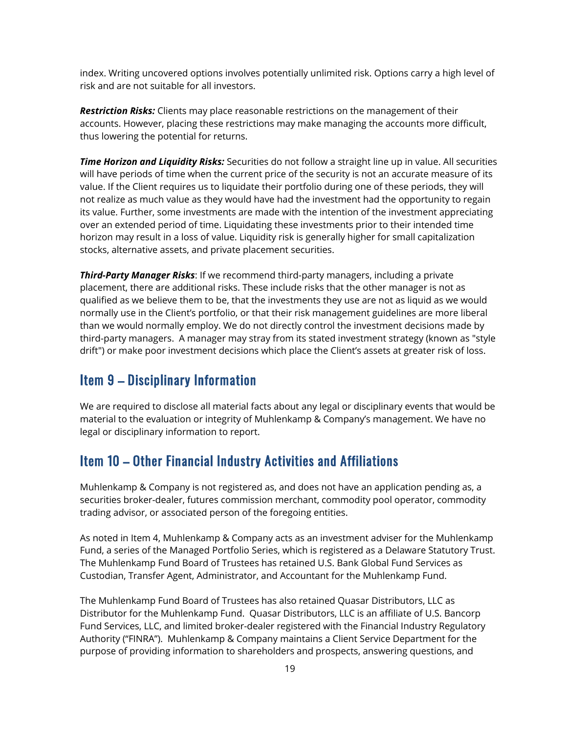index. Writing uncovered options involves potentially unlimited risk. Options carry a high level of risk and are not suitable for all investors.

*Restriction Risks:* Clients may place reasonable restrictions on the management of their accounts. However, placing these restrictions may make managing the accounts more difficult, thus lowering the potential for returns.

*Time Horizon and Liquidity Risks:* Securities do not follow a straight line up in value. All securities will have periods of time when the current price of the security is not an accurate measure of its value. If the Client requires us to liquidate their portfolio during one of these periods, they will not realize as much value as they would have had the investment had the opportunity to regain its value. Further, some investments are made with the intention of the investment appreciating over an extended period of time. Liquidating these investments prior to their intended time horizon may result in a loss of value. Liquidity risk is generally higher for small capitalization stocks, alternative assets, and private placement securities.

*Third-Party Manager Risks*: If we recommend third-party managers, including a private placement, there are additional risks. These include risks that the other manager is not as qualified as we believe them to be, that the investments they use are not as liquid as we would normally use in the Client's portfolio, or that their risk management guidelines are more liberal than we would normally employ. We do not directly control the investment decisions made by third-party managers. A manager may stray from its stated investment strategy (known as "style drift") or make poor investment decisions which place the Client's assets at greater risk of loss.

### Item 9 – Disciplinary Information

We are required to disclose all material facts about any legal or disciplinary events that would be material to the evaluation or integrity of Muhlenkamp & Company's management. We have no legal or disciplinary information to report.

# Item 10 – Other Financial Industry Activities and Affiliations

Muhlenkamp & Company is not registered as, and does not have an application pending as, a securities broker-dealer, futures commission merchant, commodity pool operator, commodity trading advisor, or associated person of the foregoing entities.

As noted in Item 4, Muhlenkamp & Company acts as an investment adviser for the Muhlenkamp Fund, a series of the Managed Portfolio Series, which is registered as a Delaware Statutory Trust. The Muhlenkamp Fund Board of Trustees has retained U.S. Bank Global Fund Services as Custodian, Transfer Agent, Administrator, and Accountant for the Muhlenkamp Fund.

The Muhlenkamp Fund Board of Trustees has also retained Quasar Distributors, LLC as Distributor for the Muhlenkamp Fund. Quasar Distributors, LLC is an affiliate of U.S. Bancorp Fund Services, LLC, and limited broker-dealer registered with the Financial Industry Regulatory Authority ("FINRA"). Muhlenkamp & Company maintains a Client Service Department for the purpose of providing information to shareholders and prospects, answering questions, and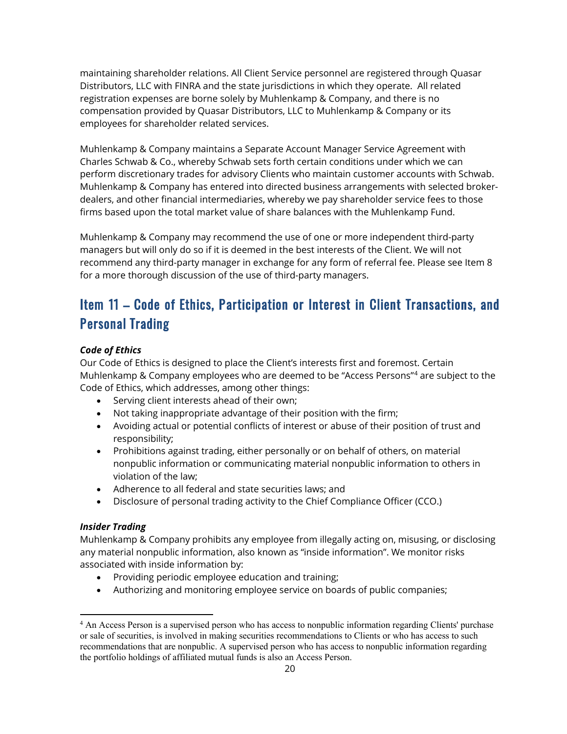maintaining shareholder relations. All Client Service personnel are registered through Quasar Distributors, LLC with FINRA and the state jurisdictions in which they operate. All related registration expenses are borne solely by Muhlenkamp & Company, and there is no compensation provided by Quasar Distributors, LLC to Muhlenkamp & Company or its employees for shareholder related services.

Muhlenkamp & Company maintains a Separate Account Manager Service Agreement with Charles Schwab & Co., whereby Schwab sets forth certain conditions under which we can perform discretionary trades for advisory Clients who maintain customer accounts with Schwab. Muhlenkamp & Company has entered into directed business arrangements with selected brokerdealers, and other financial intermediaries, whereby we pay shareholder service fees to those firms based upon the total market value of share balances with the Muhlenkamp Fund.

Muhlenkamp & Company may recommend the use of one or more independent third-party managers but will only do so if it is deemed in the best interests of the Client. We will not recommend any third-party manager in exchange for any form of referral fee. Please see Item 8 for a more thorough discussion of the use of third-party managers.

# Item 11 – Code of Ethics, Participation or Interest in Client Transactions, and Personal Trading

#### *Code of Ethics*

Our Code of Ethics is designed to place the Client's interests first and foremost. Certain Muhlenkamp & Company employees who are deemed to be "Access Persons["4](#page-19-0) are subject to the Code of Ethics, which addresses, among other things:

- Serving client interests ahead of their own;
- Not taking inappropriate advantage of their position with the firm;
- Avoiding actual or potential conflicts of interest or abuse of their position of trust and responsibility;
- Prohibitions against trading, either personally or on behalf of others, on material nonpublic information or communicating material nonpublic information to others in violation of the law;
- Adherence to all federal and state securities laws; and
- Disclosure of personal trading activity to the Chief Compliance Officer (CCO.)

#### *Insider Trading*

Muhlenkamp & Company prohibits any employee from illegally acting on, misusing, or disclosing any material nonpublic information, also known as "inside information". We monitor risks associated with inside information by:

- Providing periodic employee education and training;
- Authorizing and monitoring employee service on boards of public companies;

<span id="page-19-0"></span><sup>4</sup> An Access Person is a supervised person who has access to nonpublic information regarding Clients' purchase or sale of securities, is involved in making securities recommendations to Clients or who has access to such recommendations that are nonpublic. A supervised person who has access to nonpublic information regarding the portfolio holdings of affiliated mutual funds is also an Access Person.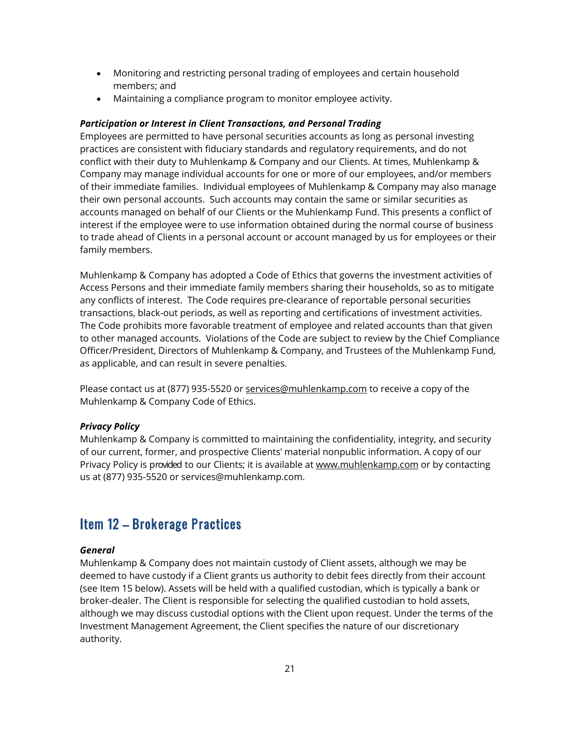- Monitoring and restricting personal trading of employees and certain household members; and
- Maintaining a compliance program to monitor employee activity.

#### *Participation or Interest in Client Transactions, and Personal Trading*

Employees are permitted to have personal securities accounts as long as personal investing practices are consistent with fiduciary standards and regulatory requirements, and do not conflict with their duty to Muhlenkamp & Company and our Clients. At times, Muhlenkamp & Company may manage individual accounts for one or more of our employees, and/or members of their immediate families. Individual employees of Muhlenkamp & Company may also manage their own personal accounts. Such accounts may contain the same or similar securities as accounts managed on behalf of our Clients or the Muhlenkamp Fund. This presents a conflict of interest if the employee were to use information obtained during the normal course of business to trade ahead of Clients in a personal account or account managed by us for employees or their family members.

Muhlenkamp & Company has adopted a Code of Ethics that governs the investment activities of Access Persons and their immediate family members sharing their households, so as to mitigate any conflicts of interest. The Code requires pre-clearance of reportable personal securities transactions, black-out periods, as well as reporting and certifications of investment activities. The Code prohibits more favorable treatment of employee and related accounts than that given to other managed accounts. Violations of the Code are subject to review by the Chief Compliance Officer/President, Directors of Muhlenkamp & Company, and Trustees of the Muhlenkamp Fund, as applicable, and can result in severe penalties.

Please contact us at (877) 935-5520 or [services@muhlenkamp.com](mailto:services@muhlenkamp.com) to receive a copy of the Muhlenkamp & Company Code of Ethics.

#### *Privacy Policy*

Muhlenkamp & Company is committed to maintaining the confidentiality, integrity, and security of our current, former, and prospective Clients' material nonpublic information. A copy of our Privacy Policy is provided to our Clients; it is available at [www.muhlenkamp.com](http://www.muhlenkamp.com/) or by contacting us at (877) 935-5520 or services@muhlenkamp.com.

## Item 12 – Brokerage Practices

#### *General*

Muhlenkamp & Company does not maintain custody of Client assets, although we may be deemed to have custody if a Client grants us authority to debit fees directly from their account (see Item 15 below). Assets will be held with a qualified custodian, which is typically a bank or broker-dealer. The Client is responsible for selecting the qualified custodian to hold assets, although we may discuss custodial options with the Client upon request. Under the terms of the Investment Management Agreement, the Client specifies the nature of our discretionary authority.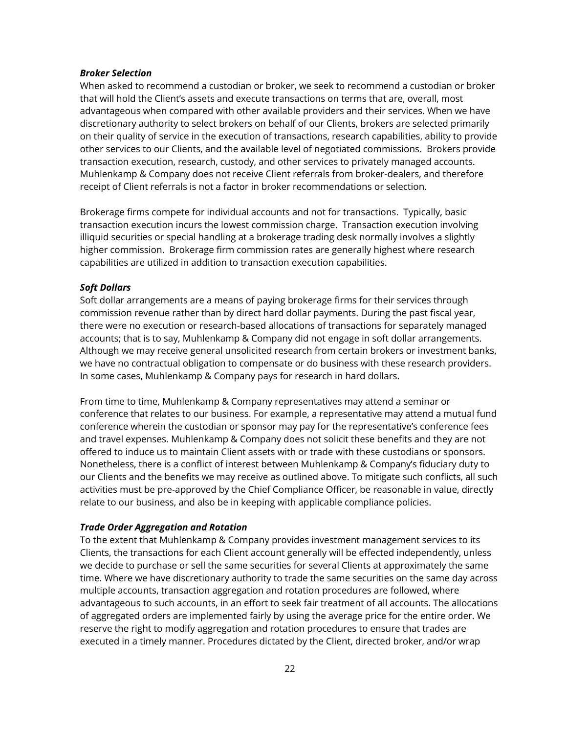#### *Broker Selection*

When asked to recommend a custodian or broker, we seek to recommend a custodian or broker that will hold the Client's assets and execute transactions on terms that are, overall, most advantageous when compared with other available providers and their services. When we have discretionary authority to select brokers on behalf of our Clients, brokers are selected primarily on their quality of service in the execution of transactions, research capabilities, ability to provide other services to our Clients, and the available level of negotiated commissions. Brokers provide transaction execution, research, custody, and other services to privately managed accounts. Muhlenkamp & Company does not receive Client referrals from broker-dealers, and therefore receipt of Client referrals is not a factor in broker recommendations or selection.

Brokerage firms compete for individual accounts and not for transactions. Typically, basic transaction execution incurs the lowest commission charge. Transaction execution involving illiquid securities or special handling at a brokerage trading desk normally involves a slightly higher commission. Brokerage firm commission rates are generally highest where research capabilities are utilized in addition to transaction execution capabilities.

#### *Soft Dollars*

Soft dollar arrangements are a means of paying brokerage firms for their services through commission revenue rather than by direct hard dollar payments. During the past fiscal year, there were no execution or research-based allocations of transactions for separately managed accounts; that is to say, Muhlenkamp & Company did not engage in soft dollar arrangements. Although we may receive general unsolicited research from certain brokers or investment banks, we have no contractual obligation to compensate or do business with these research providers. In some cases, Muhlenkamp & Company pays for research in hard dollars.

From time to time, Muhlenkamp & Company representatives may attend a seminar or conference that relates to our business. For example, a representative may attend a mutual fund conference wherein the custodian or sponsor may pay for the representative's conference fees and travel expenses. Muhlenkamp & Company does not solicit these benefits and they are not offered to induce us to maintain Client assets with or trade with these custodians or sponsors. Nonetheless, there is a conflict of interest between Muhlenkamp & Company's fiduciary duty to our Clients and the benefits we may receive as outlined above. To mitigate such conflicts, all such activities must be pre-approved by the Chief Compliance Officer, be reasonable in value, directly relate to our business, and also be in keeping with applicable compliance policies.

#### *Trade Order Aggregation and Rotation*

To the extent that Muhlenkamp & Company provides investment management services to its Clients, the transactions for each Client account generally will be effected independently, unless we decide to purchase or sell the same securities for several Clients at approximately the same time. Where we have discretionary authority to trade the same securities on the same day across multiple accounts, transaction aggregation and rotation procedures are followed, where advantageous to such accounts, in an effort to seek fair treatment of all accounts. The allocations of aggregated orders are implemented fairly by using the average price for the entire order. We reserve the right to modify aggregation and rotation procedures to ensure that trades are executed in a timely manner. Procedures dictated by the Client, directed broker, and/or wrap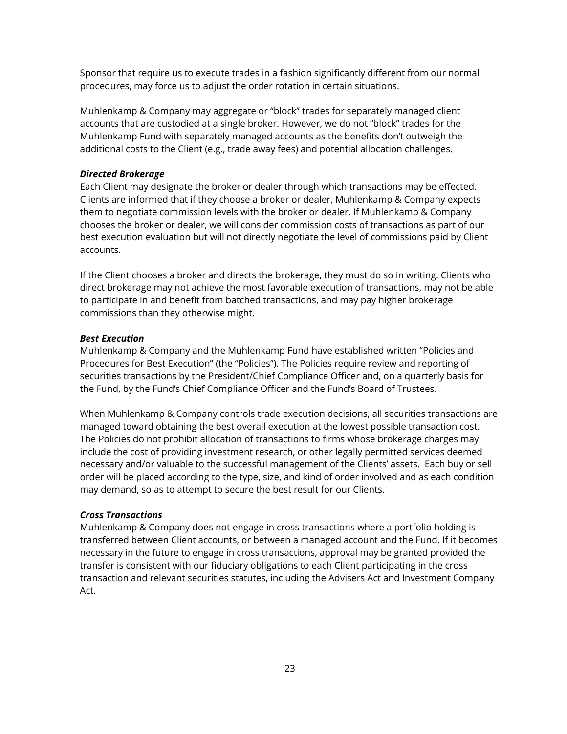Sponsor that require us to execute trades in a fashion significantly different from our normal procedures, may force us to adjust the order rotation in certain situations.

Muhlenkamp & Company may aggregate or "block" trades for separately managed client accounts that are custodied at a single broker. However, we do not "block" trades for the Muhlenkamp Fund with separately managed accounts as the benefits don't outweigh the additional costs to the Client (e.g., trade away fees) and potential allocation challenges.

#### *Directed Brokerage*

Each Client may designate the broker or dealer through which transactions may be effected. Clients are informed that if they choose a broker or dealer, Muhlenkamp & Company expects them to negotiate commission levels with the broker or dealer. If Muhlenkamp & Company chooses the broker or dealer, we will consider commission costs of transactions as part of our best execution evaluation but will not directly negotiate the level of commissions paid by Client accounts.

If the Client chooses a broker and directs the brokerage, they must do so in writing. Clients who direct brokerage may not achieve the most favorable execution of transactions, may not be able to participate in and benefit from batched transactions, and may pay higher brokerage commissions than they otherwise might.

#### *Best Execution*

Muhlenkamp & Company and the Muhlenkamp Fund have established written "Policies and Procedures for Best Execution" (the "Policies"). The Policies require review and reporting of securities transactions by the President/Chief Compliance Officer and, on a quarterly basis for the Fund, by the Fund's Chief Compliance Officer and the Fund's Board of Trustees.

When Muhlenkamp & Company controls trade execution decisions, all securities transactions are managed toward obtaining the best overall execution at the lowest possible transaction cost. The Policies do not prohibit allocation of transactions to firms whose brokerage charges may include the cost of providing investment research, or other legally permitted services deemed necessary and/or valuable to the successful management of the Clients' assets. Each buy or sell order will be placed according to the type, size, and kind of order involved and as each condition may demand, so as to attempt to secure the best result for our Clients.

#### *Cross Transactions*

Muhlenkamp & Company does not engage in cross transactions where a portfolio holding is transferred between Client accounts, or between a managed account and the Fund. If it becomes necessary in the future to engage in cross transactions, approval may be granted provided the transfer is consistent with our fiduciary obligations to each Client participating in the cross transaction and relevant securities statutes, including the Advisers Act and Investment Company Act.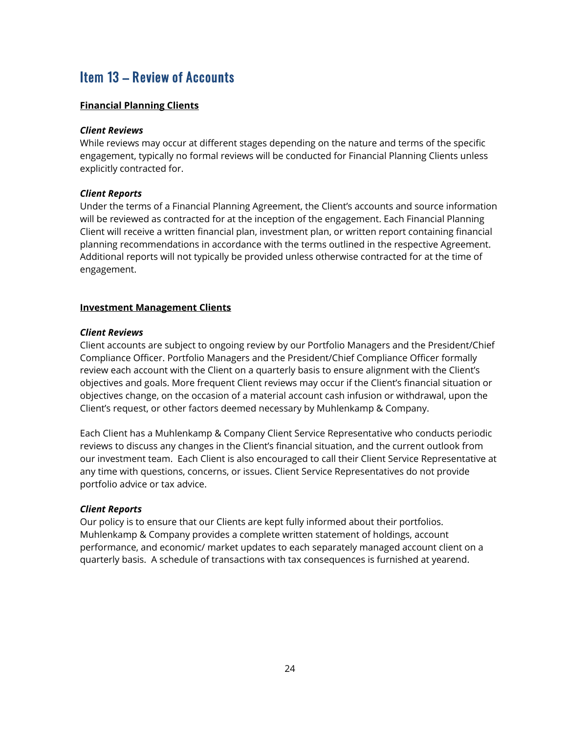# Item 13 – Review of Accounts

#### **Financial Planning Clients**

#### *Client Reviews*

While reviews may occur at different stages depending on the nature and terms of the specific engagement, typically no formal reviews will be conducted for Financial Planning Clients unless explicitly contracted for.

#### *Client Reports*

Under the terms of a Financial Planning Agreement, the Client's accounts and source information will be reviewed as contracted for at the inception of the engagement. Each Financial Planning Client will receive a written financial plan, investment plan, or written report containing financial planning recommendations in accordance with the terms outlined in the respective Agreement. Additional reports will not typically be provided unless otherwise contracted for at the time of engagement.

#### **Investment Management Clients**

#### *Client Reviews*

Client accounts are subject to ongoing review by our Portfolio Managers and the President/Chief Compliance Officer. Portfolio Managers and the President/Chief Compliance Officer formally review each account with the Client on a quarterly basis to ensure alignment with the Client's objectives and goals. More frequent Client reviews may occur if the Client's financial situation or objectives change, on the occasion of a material account cash infusion or withdrawal, upon the Client's request, or other factors deemed necessary by Muhlenkamp & Company.

Each Client has a Muhlenkamp & Company Client Service Representative who conducts periodic reviews to discuss any changes in the Client's financial situation, and the current outlook from our investment team. Each Client is also encouraged to call their Client Service Representative at any time with questions, concerns, or issues. Client Service Representatives do not provide portfolio advice or tax advice.

#### *Client Reports*

Our policy is to ensure that our Clients are kept fully informed about their portfolios. Muhlenkamp & Company provides a complete written statement of holdings, account performance, and economic/ market updates to each separately managed account client on a quarterly basis. A schedule of transactions with tax consequences is furnished at yearend.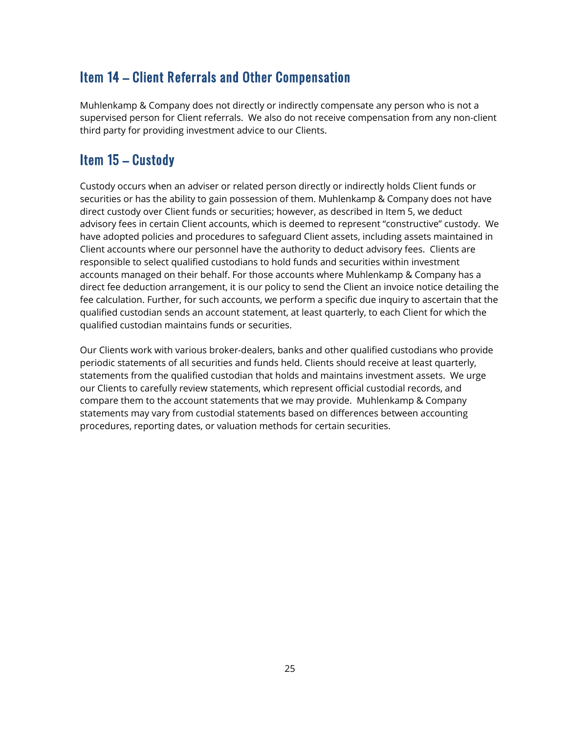# Item 14 – Client Referrals and Other Compensation

Muhlenkamp & Company does not directly or indirectly compensate any person who is not a supervised person for Client referrals. We also do not receive compensation from any non-client third party for providing investment advice to our Clients.

# Item 15 – Custody

Custody occurs when an adviser or related person directly or indirectly holds Client funds or securities or has the ability to gain possession of them. Muhlenkamp & Company does not have direct custody over Client funds or securities; however, as described in Item 5, we deduct advisory fees in certain Client accounts, which is deemed to represent "constructive" custody. We have adopted policies and procedures to safeguard Client assets, including assets maintained in Client accounts where our personnel have the authority to deduct advisory fees. Clients are responsible to select qualified custodians to hold funds and securities within investment accounts managed on their behalf. For those accounts where Muhlenkamp & Company has a direct fee deduction arrangement, it is our policy to send the Client an invoice notice detailing the fee calculation. Further, for such accounts, we perform a specific due inquiry to ascertain that the qualified custodian sends an account statement, at least quarterly, to each Client for which the qualified custodian maintains funds or securities.

Our Clients work with various broker-dealers, banks and other qualified custodians who provide periodic statements of all securities and funds held. Clients should receive at least quarterly, statements from the qualified custodian that holds and maintains investment assets. We urge our Clients to carefully review statements, which represent official custodial records, and compare them to the account statements that we may provide. Muhlenkamp & Company statements may vary from custodial statements based on differences between accounting procedures, reporting dates, or valuation methods for certain securities.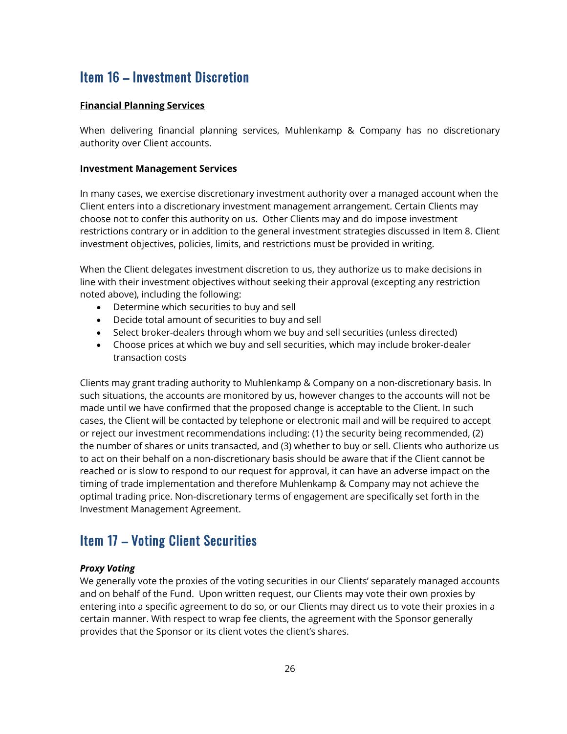# Item 16 – Investment Discretion

#### **Financial Planning Services**

When delivering financial planning services, Muhlenkamp & Company has no discretionary authority over Client accounts.

#### **Investment Management Services**

In many cases, we exercise discretionary investment authority over a managed account when the Client enters into a discretionary investment management arrangement. Certain Clients may choose not to confer this authority on us. Other Clients may and do impose investment restrictions contrary or in addition to the general investment strategies discussed in Item 8. Client investment objectives, policies, limits, and restrictions must be provided in writing.

When the Client delegates investment discretion to us, they authorize us to make decisions in line with their investment objectives without seeking their approval (excepting any restriction noted above), including the following:

- Determine which securities to buy and sell
- Decide total amount of securities to buy and sell
- Select broker-dealers through whom we buy and sell securities (unless directed)
- Choose prices at which we buy and sell securities, which may include broker-dealer transaction costs

Clients may grant trading authority to Muhlenkamp & Company on a non-discretionary basis. In such situations, the accounts are monitored by us, however changes to the accounts will not be made until we have confirmed that the proposed change is acceptable to the Client. In such cases, the Client will be contacted by telephone or electronic mail and will be required to accept or reject our investment recommendations including: (1) the security being recommended, (2) the number of shares or units transacted, and (3) whether to buy or sell. Clients who authorize us to act on their behalf on a non-discretionary basis should be aware that if the Client cannot be reached or is slow to respond to our request for approval, it can have an adverse impact on the timing of trade implementation and therefore Muhlenkamp & Company may not achieve the optimal trading price. Non-discretionary terms of engagement are specifically set forth in the Investment Management Agreement.

## Item 17 – Voting Client Securities

#### *Proxy Voting*

We generally vote the proxies of the voting securities in our Clients' separately managed accounts and on behalf of the Fund. Upon written request, our Clients may vote their own proxies by entering into a specific agreement to do so, or our Clients may direct us to vote their proxies in a certain manner. With respect to wrap fee clients, the agreement with the Sponsor generally provides that the Sponsor or its client votes the client's shares.